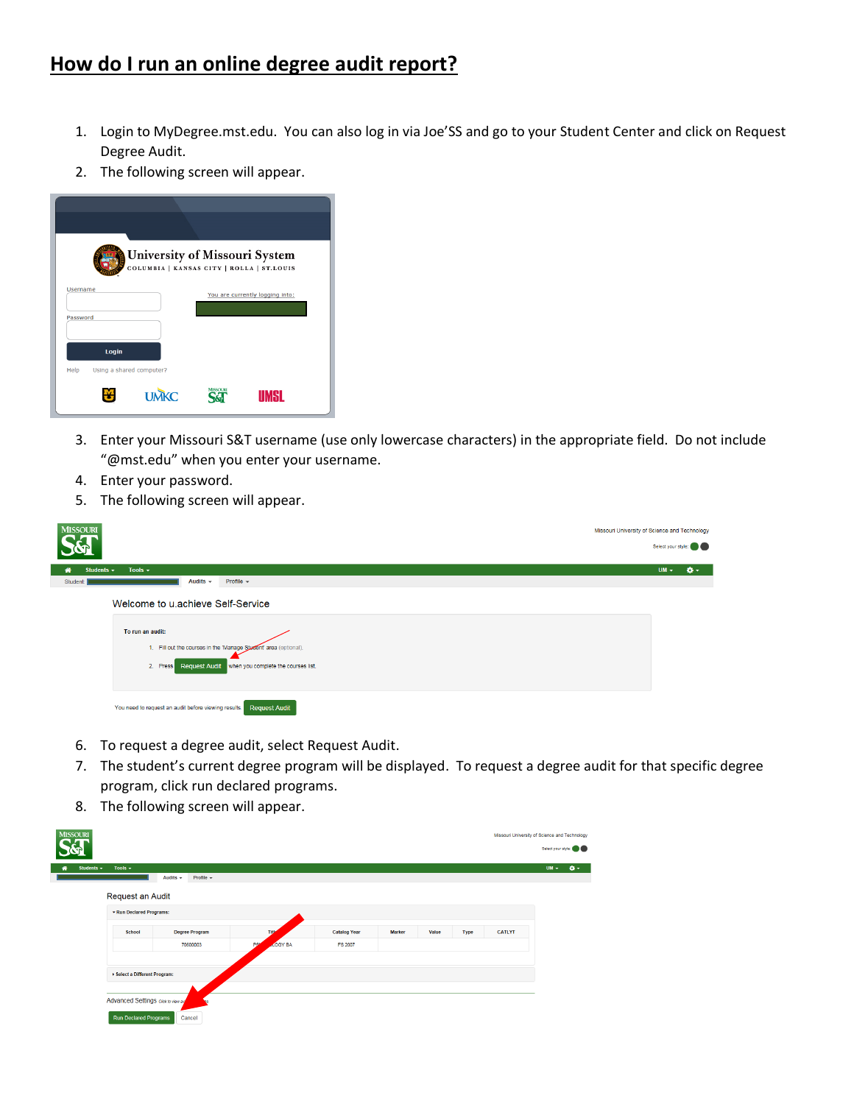## **How do I run an online degree audit report?**

- 1. Login to MyDegree.mst.edu. You can also log in via Joe'SS and go to your Student Center and click on Request Degree Audit.
- 2. The following screen will appear.

| University of Missouri System<br>COLUMBIA   KANSAS CITY   ROLLA   ST.LOUIS |                |                                 |  |  |  |  |  |  |  |  |
|----------------------------------------------------------------------------|----------------|---------------------------------|--|--|--|--|--|--|--|--|
| <b>Username</b>                                                            |                | You are currently logging into: |  |  |  |  |  |  |  |  |
|                                                                            |                |                                 |  |  |  |  |  |  |  |  |
| Password                                                                   |                |                                 |  |  |  |  |  |  |  |  |
| Login                                                                      |                |                                 |  |  |  |  |  |  |  |  |
| Using a shared computer?<br>Help                                           |                |                                 |  |  |  |  |  |  |  |  |
| <b>UMKC</b>                                                                | <b>MISSOLE</b> | <b>UMSL</b>                     |  |  |  |  |  |  |  |  |

- 3. Enter your Missouri S&T username (use only lowercase characters) in the appropriate field. Do not include "@mst.edu" when you enter your username.
- 4. Enter your password.
- 5. The following screen will appear.

| <b>MISSOURI</b><br>Missouri University of Science and Technology                                                                                                                           |        |                    |
|--------------------------------------------------------------------------------------------------------------------------------------------------------------------------------------------|--------|--------------------|
|                                                                                                                                                                                            |        | Select your style: |
| Tools $\sim$<br>Students $\sim$<br>倄                                                                                                                                                       | $UM -$ | $\mathbf{Q}$ -     |
| Audits $\sim$<br>Profile $\sim$<br>Student:                                                                                                                                                |        |                    |
| Welcome to u achieve Self-Service<br>To run an audit:<br>1. Fill out the courses in the 'Manage Student' area (optional).<br>Request Audit when you complete the courses list.<br>2. Press |        |                    |
| <b>Request Audit</b><br>You need to request an audit before viewing results.                                                                                                               |        |                    |

- 6. To request a degree audit, select Request Audit.
- 7. The student's current degree program will be displayed. To request a degree audit for that specific degree program, click run declared programs.
- 8. The following screen will appear.

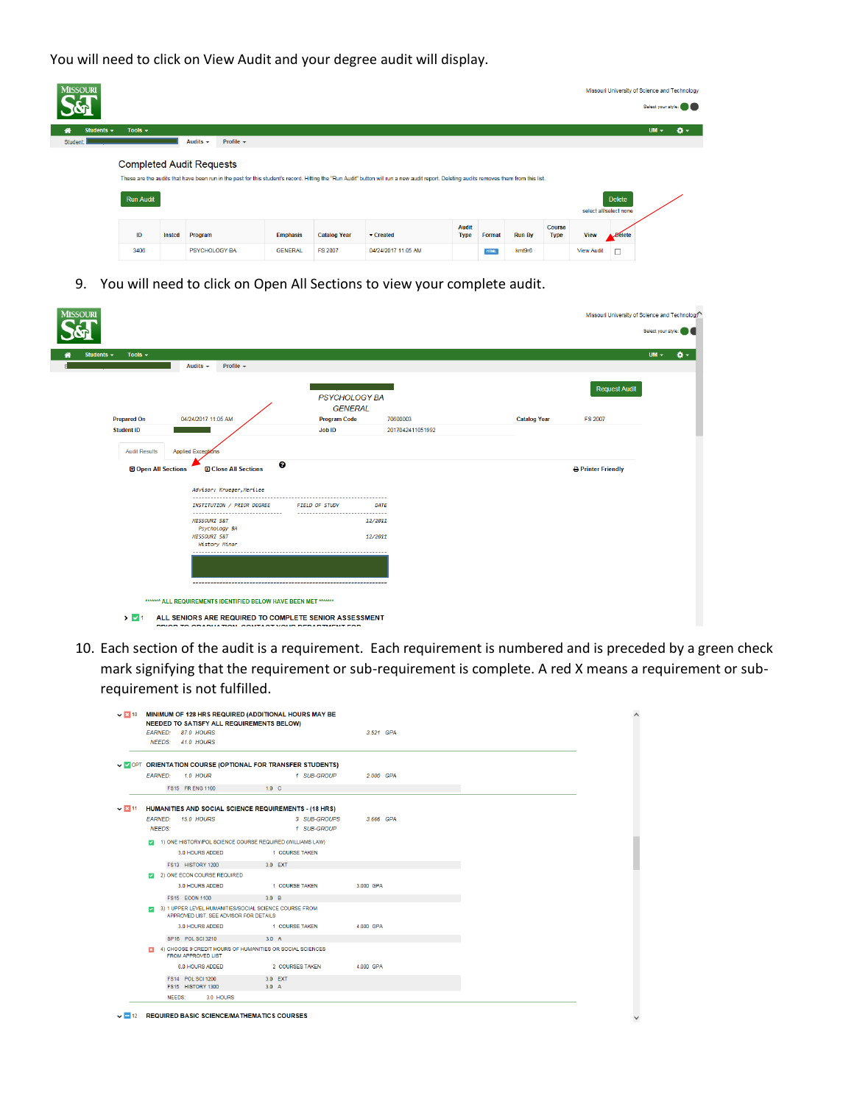You will need to click on View Audit and your degree audit will display.

| <b>MISSOURI</b>      |                                                     |        |               |                |                 |                     |                                                                                                                                                                                         |                             |             |               |                              |                        |                 | Missouri University of Science and Technology | Select your style: |
|----------------------|-----------------------------------------------------|--------|---------------|----------------|-----------------|---------------------|-----------------------------------------------------------------------------------------------------------------------------------------------------------------------------------------|-----------------------------|-------------|---------------|------------------------------|------------------------|-----------------|-----------------------------------------------|--------------------|
| Students $\sim$<br>俗 | Tools $\sim$                                        |        |               |                |                 |                     |                                                                                                                                                                                         |                             |             |               |                              |                        |                 | $UM -$                                        | $\bullet$ -        |
| Student:             |                                                     |        | Audits $\div$ | Profile $\sim$ |                 |                     |                                                                                                                                                                                         |                             |             |               |                              |                        |                 |                                               |                    |
|                      | <b>Completed Audit Requests</b><br><b>Run Audit</b> |        |               |                |                 |                     | These are the audits that have been run in the past for this student's record. Hitting the "Run Audit" button will run a new audit report. Deleting audits removes them from this list. |                             |             |               |                              | select all/select none | <b>Delete</b>   |                                               |                    |
|                      | ID                                                  | Insted | Program       |                | <b>Emphasis</b> | <b>Catalog Year</b> | Created                                                                                                                                                                                 | <b>Audit</b><br><b>Type</b> | Format      | <b>Run By</b> | <b>Course</b><br><b>Type</b> | <b>View</b>            | <b>A</b> Belete |                                               |                    |
|                      | 3406                                                |        | PSYCHOLOGY BA |                | <b>GENERAL</b>  | <b>FS 2007</b>      | 04/24/2017 11:05 AM                                                                                                                                                                     |                             | <b>HTML</b> | kmt9r6        |                              | <b>View Audit</b>      |                 |                                               |                    |

9. You will need to click on Open All Sections to view your complete audit.

| <b>MISSOURI</b>                 |                                                                  |                                       |                  |                     | Missouri University of Science and Technology |
|---------------------------------|------------------------------------------------------------------|---------------------------------------|------------------|---------------------|-----------------------------------------------|
|                                 |                                                                  |                                       |                  |                     | Select your style                             |
| Students $\sim$<br>Tools $\sim$ | Audits $\sim$<br>Profile $\sim$                                  |                                       |                  |                     | $UM -$                                        |
|                                 |                                                                  | <b>PSYCHOLOGY BA</b>                  |                  |                     | <b>Request Audit</b>                          |
| <b>Prepared On</b>              | 04/24/2017 11:05 AM                                              | <b>GENERAL</b><br><b>Program Code</b> | 70600003         | <b>Catalog Year</b> | <b>FS 2007</b>                                |
| <b>Student ID</b>               |                                                                  | <b>Job ID</b>                         | 2017042411051992 |                     |                                               |
| <b>Audit Results</b>            | Applied Exceptions                                               |                                       |                  |                     |                                               |
| Open All Sections               | <b>El Close All Sections</b>                                     | ø                                     |                  |                     | <b>B</b> Printer Friendly                     |
|                                 | Advisor: Krueger, Merilee                                        |                                       |                  |                     |                                               |
|                                 | INSTITUTION / PRIOR DEGREE                                       | <b>FIELD OF STUDY</b>                 | DATE             |                     |                                               |
|                                 | <b>MISSOURI S&amp;T</b>                                          |                                       | 12/2011          |                     |                                               |
|                                 | Psychology BA<br><b>MISSOURI S&amp;T</b><br><b>History Minor</b> |                                       | 12/2011          |                     |                                               |
|                                 |                                                                  |                                       |                  |                     |                                               |
|                                 |                                                                  |                                       |                  |                     |                                               |
|                                 | MAAAAA ALL REQUIREMENTS IDENTIFIED BELOW HAVE BEEN MET *******   |                                       |                  |                     |                                               |
| $\sum$ $\sqrt{1}$               | ALL SENIORS ARE REQUIRED TO COMPLETE SENIOR ASSESSMENT           |                                       |                  |                     |                                               |

10. Each section of the audit is a requirement. Each requirement is numbered and is preceded by a green check mark signifying that the requirement or sub-requirement is complete. A red X means a requirement or subrequirement is not fulfilled.

|             | <b>EARNED:</b>          | 87.0 HOURS                                                                                       |                  |                                                           |           | 3.521 GPA |  |  |
|-------------|-------------------------|--------------------------------------------------------------------------------------------------|------------------|-----------------------------------------------------------|-----------|-----------|--|--|
|             |                         | NEEDS: 41.0 HOURS                                                                                |                  |                                                           |           |           |  |  |
|             |                         |                                                                                                  |                  | V OPT ORIENTATION COURSE (OPTIONAL FOR TRANSFER STUDENTS) |           |           |  |  |
|             | <b>EARNED:</b>          | <b>1.0 HOUR</b>                                                                                  |                  | 1 SUB-GROUP                                               |           | 2.000 GPA |  |  |
|             |                         | FS15 FR ENG 1100                                                                                 | $1.0\quad C$     |                                                           |           |           |  |  |
|             |                         |                                                                                                  |                  |                                                           |           |           |  |  |
| $\vee$ 3 11 |                         | HUMANITIES AND SOCIAL SCIENCE REQUIREMENTS - (18 HRS)                                            |                  |                                                           |           |           |  |  |
|             | <b>EARNED:</b>          | <b>15.0 HOURS</b>                                                                                |                  | 3 SUB-GROUPS                                              |           | 3.666 GPA |  |  |
|             | <b>NEEDS:</b>           |                                                                                                  |                  | 1 SUB-GROUP                                               |           |           |  |  |
|             | $\overline{\mathbf{v}}$ | 1) ONE HISTORY/POL SCIENCE COURSE REQUIRED (WILLIAMS LAW)                                        |                  |                                                           |           |           |  |  |
|             |                         | 3.0 HOURS ADDED                                                                                  |                  | 1 COURSE TAKEN                                            |           |           |  |  |
|             |                         | FS13 HISTORY 1200                                                                                |                  | 3.0 EXT                                                   |           |           |  |  |
|             |                         | 2) ONE ECON COURSE REQUIRED                                                                      |                  |                                                           |           |           |  |  |
|             |                         | 3.0 HOURS ADDED                                                                                  |                  | 1 COURSE TAKEN                                            | 3.000 GPA |           |  |  |
|             |                         | FS15 ECON 1100                                                                                   | 3.0 <sub>B</sub> |                                                           |           |           |  |  |
|             | $\overline{\mathbf{v}}$ | 3) 1 UPPER LEVEL HUMANITIES/SOCIAL SCIENCE COURSE FROM<br>APPROVED LIST. SEE ADVISOR FOR DETAILS |                  |                                                           |           |           |  |  |
|             |                         | 3.0 HOURS ADDED                                                                                  |                  | 1 COURSE TAKEN                                            | 4.000 GPA |           |  |  |
|             |                         | SP16 POL SCI 3210                                                                                | $3.0\quad A$     |                                                           |           |           |  |  |
|             |                         | 4) CHOOSE 9 CREDIT HOURS OF HUMANITIES OR SOCIAL SCIENCES<br><b>FROM APPROVED LIST</b>           |                  |                                                           |           |           |  |  |
|             |                         | 6.0 HOURS ADDED                                                                                  |                  | 2 COURSES TAKEN                                           | 4.000 GPA |           |  |  |
|             |                         | FS14 POL SCI 1200                                                                                |                  | 3.0 EXT                                                   |           |           |  |  |
|             |                         | FS15 HISTORY 1300                                                                                | $3.0\quad A$     |                                                           |           |           |  |  |

 $\vee$   $\blacksquare$  12 REQUIRED BASIC SCIENCE/MATHEMATICS COURSES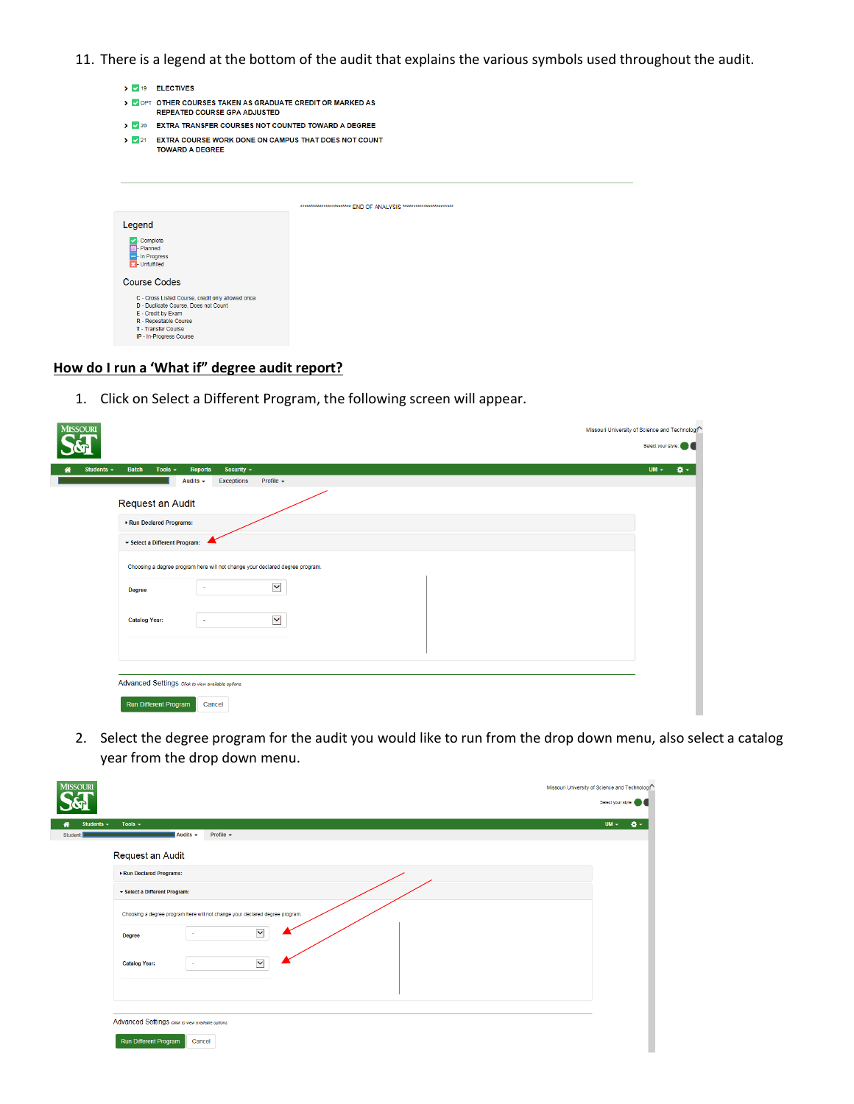11. There is a legend at the bottom of the audit that explains the various symbols used throughout the audit.

|                                                                         | > 19 ELECTIVES                                                                                                                                                                             |                                                                        |  |  |  |  |  |  |  |  |  |  |
|-------------------------------------------------------------------------|--------------------------------------------------------------------------------------------------------------------------------------------------------------------------------------------|------------------------------------------------------------------------|--|--|--|--|--|--|--|--|--|--|
|                                                                         | > VOPT OTHER COURSES TAKEN AS GRADUATE CREDIT OR MARKED AS<br><b>REPEATED COURSE GPA ADJUSTED</b>                                                                                          |                                                                        |  |  |  |  |  |  |  |  |  |  |
|                                                                         | > 20 EXTRA TRANSFER COURSES NOT COUNTED TOWARD A DEGREE                                                                                                                                    |                                                                        |  |  |  |  |  |  |  |  |  |  |
| $\triangleright$ $\triangleright$ 21                                    | <b>EXTRA COURSE WORK DONE ON CAMPUS THAT DOES NOT COUNT</b><br><b>TOWARD A DEGREE</b>                                                                                                      |                                                                        |  |  |  |  |  |  |  |  |  |  |
|                                                                         |                                                                                                                                                                                            | *************************** FND OF ANAI YSIS ************************* |  |  |  |  |  |  |  |  |  |  |
| Legend                                                                  |                                                                                                                                                                                            |                                                                        |  |  |  |  |  |  |  |  |  |  |
| Complete<br><b>Planned</b><br>Im-In Progress<br><b>33</b> - Unfulfilled |                                                                                                                                                                                            |                                                                        |  |  |  |  |  |  |  |  |  |  |
| <b>Course Codes</b>                                                     |                                                                                                                                                                                            |                                                                        |  |  |  |  |  |  |  |  |  |  |
|                                                                         | C - Cross Listed Course, credit only allowed once<br>D - Duplicate Course, Does not Count<br>E - Credit by Exam<br>R - Repeatable Course<br>T - Transfer Course<br>IP - In-Progress Course |                                                                        |  |  |  |  |  |  |  |  |  |  |

## **How do I run a 'What if" degree audit report?**

1. Click on Select a Different Program, the following screen will appear.

| <b>MISSOURI</b>                                                                                                                                                       | Missouri University of Science and Technology<br>Select your style: |
|-----------------------------------------------------------------------------------------------------------------------------------------------------------------------|---------------------------------------------------------------------|
| <b>Batch</b><br>Tools $\sim$<br>Security $\sim$<br>Students $\sim$<br><b>Reports</b><br>⋘<br>Audits $\sim$<br>Profile $\sim$<br><b>Exceptions</b><br>Request an Audit | ۰.<br>$UM -$                                                        |
| Run Declared Programs:<br>▼ Select a Different Program:<br>Choosing a degree program here will not change your declared degree program.                               |                                                                     |
| $\checkmark$<br>٠<br><b>Degree</b><br>$\checkmark$<br><b>Catalog Year:</b><br>$\sim$                                                                                  |                                                                     |
| Advanced Settings Click to view available options.<br>Run Different Program<br>Cancel                                                                                 |                                                                     |

2. Select the degree program for the audit you would like to run from the drop down menu, also select a catalog year from the drop down menu.

| <b>MISSOURI</b>                                                              | Missouri University of Science and Technology |
|------------------------------------------------------------------------------|-----------------------------------------------|
|                                                                              | Select your style:                            |
| Tools $\sim$<br>Students -                                                   | $UM -$<br>a-                                  |
| Audits $\sim$<br>Profile $\sim$<br>Student:                                  |                                               |
| Request an Audit                                                             |                                               |
| Run Declared Programs:                                                       |                                               |
| ▼ Select a Different Program:                                                |                                               |
| Choosing a degree program here will not change your declared degree program. |                                               |
| $\checkmark$<br>Degree                                                       |                                               |
| $\checkmark$<br><b>Catalog Year:</b>                                         |                                               |
|                                                                              |                                               |
|                                                                              |                                               |
| Advanced Settings click to view available options.                           |                                               |
| Run Different Program<br>Cancel                                              |                                               |
|                                                                              |                                               |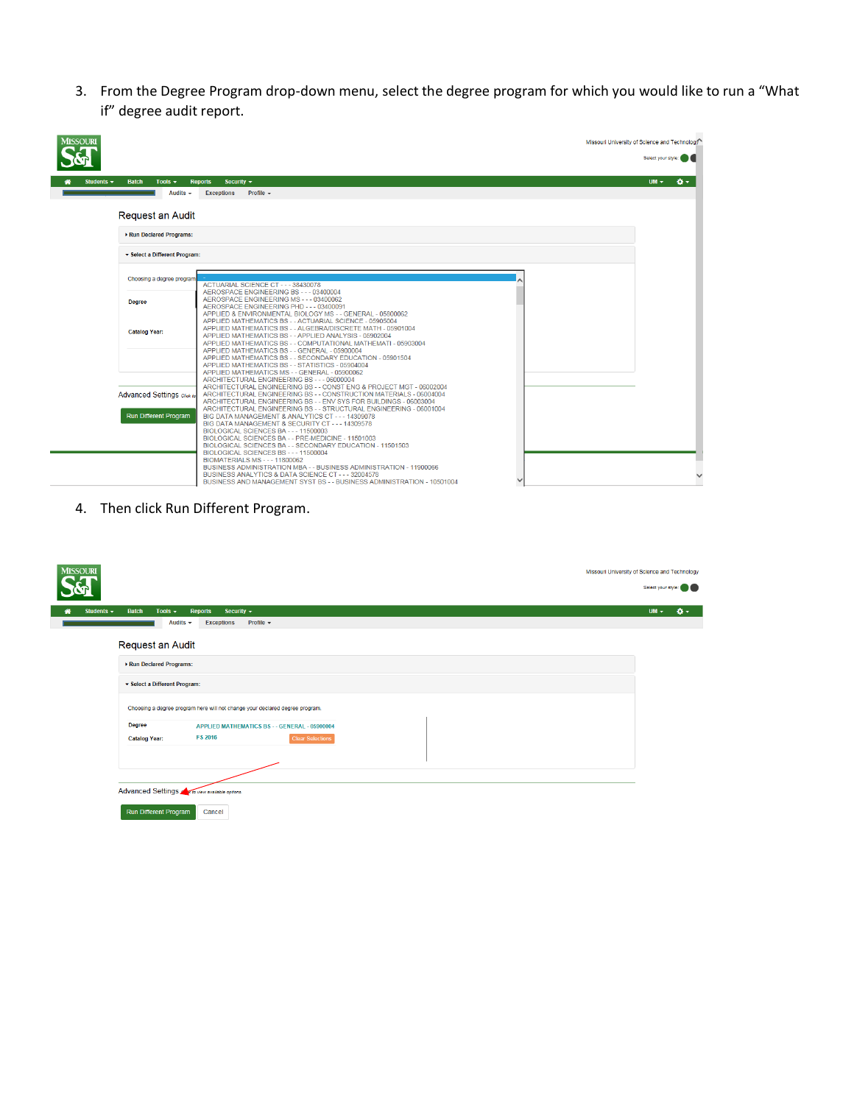3. From the Degree Program drop-down menu, select the degree program for which you would like to run a "What if" degree audit report.

| <b>MISSOURI</b>                                 |                                                                                                                                                                                                                                                   | Missouri University of Science and Technology |
|-------------------------------------------------|---------------------------------------------------------------------------------------------------------------------------------------------------------------------------------------------------------------------------------------------------|-----------------------------------------------|
|                                                 |                                                                                                                                                                                                                                                   | Select your style:                            |
| Students $\sim$<br><b>Batch</b><br>Tools $\sim$ | <b>Reports</b><br>Security $\sim$                                                                                                                                                                                                                 | <b>O-</b><br>$UM -$                           |
| Audits $\sim$                                   | Profile $\sim$<br><b>Exceptions</b>                                                                                                                                                                                                               |                                               |
| Request an Audit                                |                                                                                                                                                                                                                                                   |                                               |
| Run Declared Programs:                          |                                                                                                                                                                                                                                                   |                                               |
| Select a Different Program:                     |                                                                                                                                                                                                                                                   |                                               |
| Choosing a degree program                       | ACTUARIAL SCIENCE CT - - - 38430078<br>AEROSPACE ENGINEERING BS - - - 03400004                                                                                                                                                                    |                                               |
| <b>Degree</b>                                   | AEROSPACE ENGINEERING MS - - - 03400062<br>AEROSPACE ENGINEERING PHD - - - 03400091<br>APPLIED & ENVIRONMENTAL BIOLOGY MS - - GENERAL - 05800062                                                                                                  |                                               |
| <b>Catalog Year:</b>                            | APPLIED MATHEMATICS BS - - ACTUARIAL SCIENCE - 05905004<br>APPLIED MATHEMATICS BS - - ALGEBRA/DISCRETE MATH - 05901004<br>APPLIED MATHEMATICS BS - - APPLIED ANALYSIS - 05902004<br>APPLIED MATHEMATICS BS - - COMPUTATIONAL MATHEMATI - 05903004 |                                               |
|                                                 | APPLIED MATHEMATICS BS - - GENERAL - 05900004<br>APPLIED MATHEMATICS BS - - SECONDARY EDUCATION - 05901504<br>APPLIED MATHEMATICS BS - - STATISTICS - 05904004                                                                                    |                                               |
|                                                 | APPLIED MATHEMATICS MS - - GENERAL - 05900062<br>ARCHITECTURAL ENGINEERING BS - - - 06000004                                                                                                                                                      |                                               |
| Advanced Settings Click to                      | ARCHITECTURAL ENGINEERING BS - - CONST ENG & PROJECT MGT - 06002004<br>ARCHITECTURAL ENGINEERING BS - - CONSTRUCTION MATERIALS - 06004004<br>ARCHITECTURAL ENGINEERING BS - - ENV SYS FOR BUILDINGS - 06003004                                    |                                               |
| Run Different Program                           | ARCHITECTURAL ENGINEERING BS - - STRUCTURAL ENGINEERING - 06001004<br>BIG DATA MANAGEMENT & ANALYTICS CT - - - 14309078<br>BIG DATA MANAGEMENT & SECURITY CT - - - 14309578                                                                       |                                               |
|                                                 | BIOLOGICAL SCIENCES BA - - - 11500003<br>BIOLOGICAL SCIENCES BA - - PRE-MEDICINE - 11501003<br>BIOLOGICAL SCIENCES BA - - SECONDARY EDUCATION - 11501503                                                                                          |                                               |
|                                                 | BIOLOGICAL SCIENCES BS - - - 11500004<br><b>BIOMATERIALS MS - - - 11800062</b>                                                                                                                                                                    |                                               |
|                                                 | BUSINESS ADMINISTRATION MBA - - BUSINESS ADMINISTRATION - 11900066<br>BUSINESS ANALYTICS & DATA SCIENCE CT - - - 32004578<br>BUSINESS AND MANAGEMENT SYST BS - - BUSINESS ADMINISTRATION - 10501004                                               |                                               |

4. Then click Run Different Program.

| <b>MISSOURI</b><br>Missouri University of Science and Technology                     |        | Select your style: |
|--------------------------------------------------------------------------------------|--------|--------------------|
| <b>Batch</b><br>Tools $\sim$<br>Security $\sim$<br>Students $\sim$<br><b>Reports</b> | $UM -$ | <b>Q-</b>          |
| Audits $\sim$<br><b>Exceptions</b><br>Profile $\sim$                                 |        |                    |
| Request an Audit                                                                     |        |                    |
| Run Declared Programs:                                                               |        |                    |
| ▼ Select a Different Program:                                                        |        |                    |
| Choosing a degree program here will not change your declared degree program.         |        |                    |
| Degree<br>APPLIED MATHEMATICS BS - - GENERAL - 05900004                              |        |                    |
| <b>FS 2016</b><br><b>Clear Selections</b><br><b>Catalog Year:</b>                    |        |                    |
|                                                                                      |        |                    |
|                                                                                      |        |                    |
| Advanced Settings A a to view available options.                                     |        |                    |
| Run Different Program<br>Cancel                                                      |        |                    |